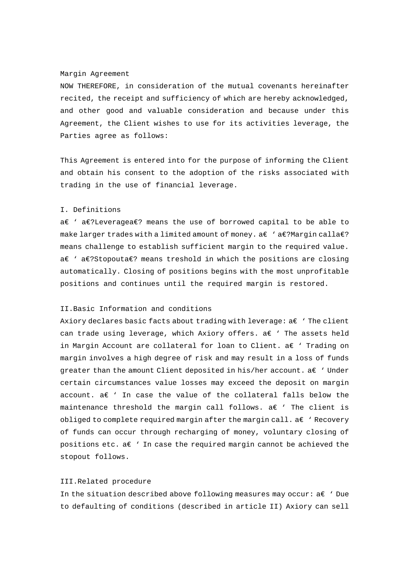#### Margin Agreement

NOW THEREFORE, in consideration of the mutual covenants hereinafter recited, the receipt and sufficiency of which are hereby acknowledged, and other good and valuable consideration and because under this Agreement, the Client wishes to use for its activities leverage, the Parties agree as follows:

This Agreement is entered into for the purpose of informing the Client and obtain his consent to the adoption of the risks associated with trading in the use of financial leverage.

## I. Definitions

a€ ' a€?Leveragea€? means the use of borrowed capital to be able to make larger trades with a limited amount of money.  $a \in \Omega$  ' a $\infty$ ?Margin calla $\infty$ ? means challenge to establish sufficient margin to the required value. a€ ' a€?Stopouta€? means treshold in which the positions are closing automatically. Closing of positions begins with the most unprofitable positions and continues until the required margin is restored.

## II.Basic Information and conditions

Axiory declares basic facts about trading with leverage:  $a \in Y$  The client can trade using leverage, which Axiory offers. a€ ' The assets held in Margin Account are collateral for loan to Client.  $a \in Y$  Trading on margin involves a high degree of risk and may result in a loss of funds greater than the amount Client deposited in his/her account.  $a \in Y$  Under certain circumstances value losses may exceed the deposit on margin account. a€ ' In case the value of the collateral falls below the maintenance threshold the margin call follows. a€ ' The client is obliged to complete required margin after the margin call.  $a \in Y$  Recovery of funds can occur through recharging of money, voluntary closing of positions etc. a $\epsilon$  ' In case the required margin cannot be achieved the stopout follows.

### III.Related procedure

In the situation described above following measures may occur: a€ ' Due to defaulting of conditions (described in article II) Axiory can sell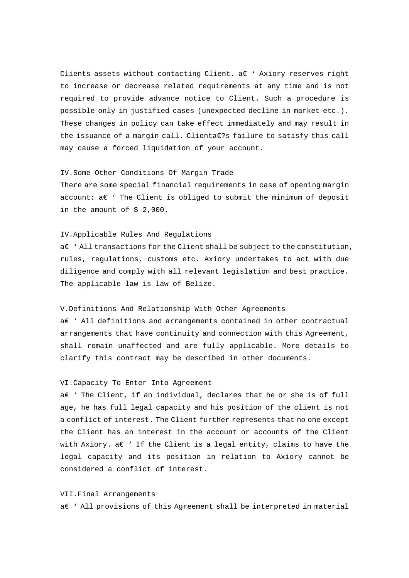Clients assets without contacting Client. a€ ' Axiory reserves right to increase or decrease related requirements at any time and is not required to provide advance notice to Client. Such a procedure is possible only in justified cases (unexpected decline in market etc.). These changes in policy can take effect immediately and may result in the issuance of a margin call. Clienta€?s failure to satisfy this call may cause a forced liquidation of your account.

# IV.Some Other Conditions Of Margin Trade

There are some special financial requirements in case of opening margin account: a€ ' The Client is obliged to submit the minimum of deposit in the amount of \$ 2,000.

#### IV.Applicable Rules And Regulations

a€ ' All transactions for the Client shall be subject to the constitution, rules, regulations, customs etc. Axiory undertakes to act with due diligence and comply with all relevant legislation and best practice. The applicable law is law of Belize.

### V.Definitions And Relationship With Other Agreements

a€ ' All definitions and arrangements contained in other contractual arrangements that have continuity and connection with this Agreement, shall remain unaffected and are fully applicable. More details to clarify this contract may be described in other documents.

# VI.Capacity To Enter Into Agreement

a€ ' The Client, if an individual, declares that he or she is of full age, he has full legal capacity and his position of the client is not a conflict of interest. The Client further represents that no one except the Client has an interest in the account or accounts of the Client with Axiory. a $\epsilon$  ' If the Client is a legal entity, claims to have the legal capacity and its position in relation to Axiory cannot be considered a conflict of interest.

#### VII.Final Arrangements

a€ ' All provisions of this Agreement shall be interpreted in material